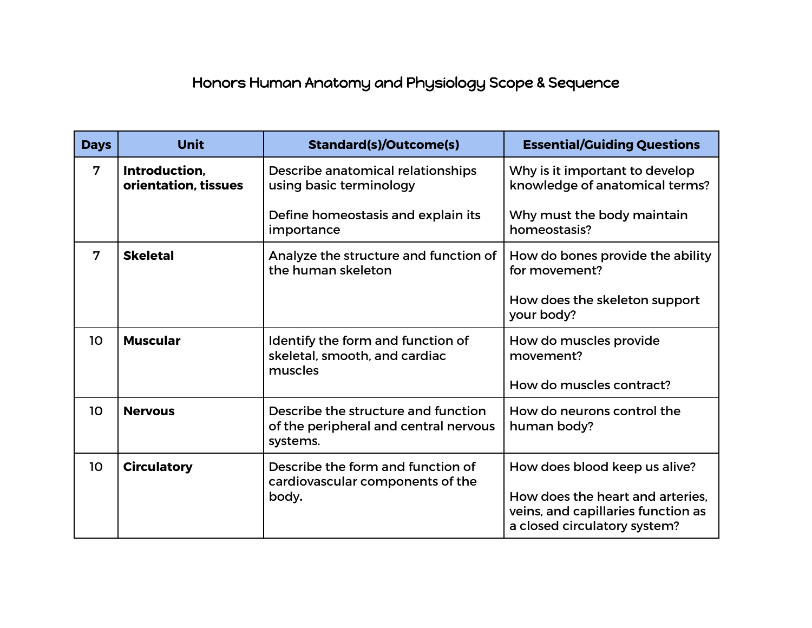## Honors Human Anatomy and Physiology Scope & Sequence

| <b>Days</b>    | <b>Unit</b>                           | <b>Standard(s)/Outcome(s)</b>                                                            | <b>Essential/Guiding Questions</b>                                                                     |
|----------------|---------------------------------------|------------------------------------------------------------------------------------------|--------------------------------------------------------------------------------------------------------|
| $\overline{7}$ | Introduction,<br>orientation, tissues | Describe anatomical relationships<br>using basic terminology                             | Why is it important to develop<br>knowledge of anatomical terms?                                       |
|                |                                       | Define homeostasis and explain its<br>importance                                         | Why must the body maintain<br>homeostasis?                                                             |
| $\overline{7}$ | <b>Skeletal</b>                       | Analyze the structure and function of<br>the human skeleton                              | How do bones provide the ability<br>for movement?                                                      |
|                |                                       |                                                                                          | How does the skeleton support<br>your body?                                                            |
| 10             | <b>Muscular</b>                       | Identify the form and function of<br>skeletal, smooth, and cardiac<br>muscles            | How do muscles provide<br>movement?                                                                    |
|                |                                       |                                                                                          | How do muscles contract?                                                                               |
| 10             | <b>Nervous</b>                        | Describe the structure and function<br>of the peripheral and central nervous<br>systems. | How do neurons control the<br>human body?                                                              |
| 10             | <b>Circulatory</b>                    | Describe the form and function of<br>cardiovascular components of the<br>body.           | How does blood keep us alive?                                                                          |
|                |                                       |                                                                                          | How does the heart and arteries.<br>veins, and capillaries function as<br>a closed circulatory system? |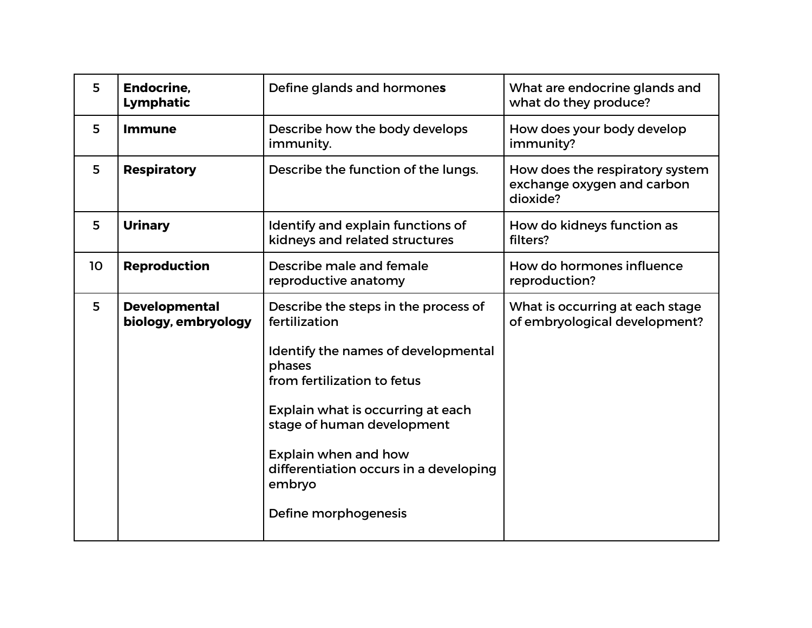| 5              | <b>Endocrine,</b><br>Lymphatic              | Define glands and hormones                                                                                                                                                                                                                                                                                   | What are endocrine glands and<br>what do they produce?                    |
|----------------|---------------------------------------------|--------------------------------------------------------------------------------------------------------------------------------------------------------------------------------------------------------------------------------------------------------------------------------------------------------------|---------------------------------------------------------------------------|
| 5              | <b>Immune</b>                               | Describe how the body develops<br>immunity.                                                                                                                                                                                                                                                                  | How does your body develop<br>immunity?                                   |
| 5              | <b>Respiratory</b>                          | Describe the function of the lungs.                                                                                                                                                                                                                                                                          | How does the respiratory system<br>exchange oxygen and carbon<br>dioxide? |
| 5              | <b>Urinary</b>                              | Identify and explain functions of<br>kidneys and related structures                                                                                                                                                                                                                                          | How do kidneys function as<br>filters?                                    |
| 10             | <b>Reproduction</b>                         | Describe male and female<br>reproductive anatomy                                                                                                                                                                                                                                                             | How do hormones influence<br>reproduction?                                |
| $5\phantom{1}$ | <b>Developmental</b><br>biology, embryology | Describe the steps in the process of<br>fertilization<br>Identify the names of developmental<br>phases<br>from fertilization to fetus<br>Explain what is occurring at each<br>stage of human development<br>Explain when and how<br>differentiation occurs in a developing<br>embryo<br>Define morphogenesis | What is occurring at each stage<br>of embryological development?          |